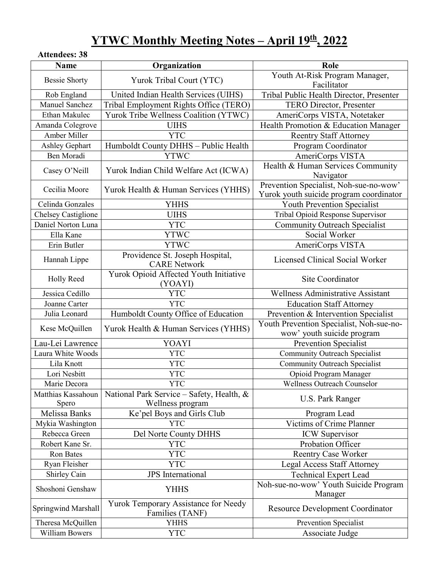# **YTWC Monthly Meeting Notes – April 19th, 2022**

# **Attendees: 38**

| <b>Name</b>                 | Organization                                                  | Role                                                                              |
|-----------------------------|---------------------------------------------------------------|-----------------------------------------------------------------------------------|
| <b>Bessie Shorty</b>        | Yurok Tribal Court (YTC)                                      | Youth At-Risk Program Manager,<br>Facilitator                                     |
| Rob England                 | United Indian Health Services (UIHS)                          | Tribal Public Health Director, Presenter                                          |
| <b>Manuel Sanchez</b>       | Tribal Employment Rights Office (TERO)                        | <b>TERO Director, Presenter</b>                                                   |
| Ethan Makulec               | Yurok Tribe Wellness Coalition (YTWC)                         | AmeriCorps VISTA, Notetaker                                                       |
| Amanda Colegrove            | <b>UIHS</b>                                                   | Health Promotion & Education Manager                                              |
| Amber Miller                | <b>YTC</b>                                                    | <b>Reentry Staff Attorney</b>                                                     |
| Ashley Gephart              | Humboldt County DHHS - Public Health                          | Program Coordinator                                                               |
| Ben Moradi                  | <b>YTWC</b>                                                   | AmeriCorps VISTA                                                                  |
| Casey O'Neill               | Yurok Indian Child Welfare Act (ICWA)                         | Health & Human Services Community<br>Navigator                                    |
| Cecilia Moore               | Yurok Health & Human Services (YHHS)                          | Prevention Specialist, Noh-sue-no-wow'<br>Yurok youth suicide program coordinator |
| Celinda Gonzales            | <b>YHHS</b>                                                   | Youth Prevention Specialist                                                       |
| Chelsey Castiglione         | <b>UIHS</b>                                                   | Tribal Opioid Response Supervisor                                                 |
| Daniel Norton Luna          | <b>YTC</b>                                                    | <b>Community Outreach Specialist</b>                                              |
| Ella Kane                   | <b>YTWC</b>                                                   | Social Worker                                                                     |
| Erin Butler                 | <b>YTWC</b>                                                   | AmeriCorps VISTA                                                                  |
| Hannah Lippe                | Providence St. Joseph Hospital,<br><b>CARE Network</b>        | Licensed Clinical Social Worker                                                   |
| <b>Holly Reed</b>           | Yurok Opioid Affected Youth Initiative<br>(YOAYI)             | Site Coordinator                                                                  |
| Jessica Cedillo             | <b>YTC</b>                                                    | Wellness Administrative Assistant                                                 |
| Joanne Carter               | <b>YTC</b>                                                    | <b>Education Staff Attorney</b>                                                   |
| Julia Leonard               | Humboldt County Office of Education                           | Prevention & Intervention Specialist                                              |
| Kese McQuillen              | Yurok Health & Human Services (YHHS)                          | Youth Prevention Specialist, Noh-sue-no-<br>wow' youth suicide program            |
| Lau-Lei Lawrence            | YOAYI                                                         | Prevention Specialist                                                             |
| Laura White Woods           | <b>YTC</b>                                                    | <b>Community Outreach Specialist</b>                                              |
| Lila Knott                  | <b>YTC</b>                                                    | <b>Community Outreach Specialist</b>                                              |
| Lori Nesbitt                | <b>YTC</b>                                                    | Opioid Program Manager                                                            |
| Marie Decora                | <b>YTC</b>                                                    | Wellness Outreach Counselor                                                       |
| Matthias Kassahoun<br>Spero | National Park Service - Safety, Health, &<br>Wellness program | U.S. Park Ranger                                                                  |
| Melissa Banks               | Ke'pel Boys and Girls Club                                    | Program Lead                                                                      |
| Mykia Washington            | <b>YTC</b>                                                    | Victims of Crime Planner                                                          |
| Rebecca Green               | Del Norte County DHHS                                         | <b>ICW</b> Supervisor                                                             |
| Robert Kane Sr.             | <b>YTC</b>                                                    | Probation Officer                                                                 |
| <b>Ron Bates</b>            | <b>YTC</b>                                                    | <b>Reentry Case Worker</b>                                                        |
| Ryan Fleisher               | <b>YTC</b>                                                    | <b>Legal Access Staff Attorney</b>                                                |
| Shirley Cain                | <b>JPS</b> International                                      | <b>Technical Expert Lead</b>                                                      |
| Shoshoni Genshaw            | <b>YHHS</b>                                                   | Noh-sue-no-wow' Youth Suicide Program<br>Manager                                  |
| <b>Springwind Marshall</b>  | Yurok Temporary Assistance for Needy<br>Families (TANF)       | <b>Resource Development Coordinator</b>                                           |
| Theresa McQuillen           | <b>YHHS</b>                                                   | Prevention Specialist                                                             |
| William Bowers              | <b>YTC</b>                                                    | Associate Judge                                                                   |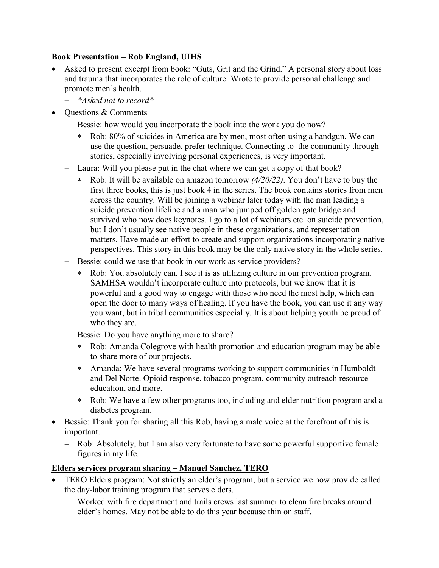### **Book Presentation – Rob England, UIHS**

- Asked to present excerpt from book: "Guts, Grit and the Grind." A personal story about loss and trauma that incorporates the role of culture. Wrote to provide personal challenge and promote men's health.
	- − *\*Asked not to record\**
	- Questions & Comments
		- − Bessie: how would you incorporate the book into the work you do now?
			- Rob: 80% of suicides in America are by men, most often using a handgun. We can use the question, persuade, prefer technique. Connecting to the community through stories, especially involving personal experiences, is very important.
		- − Laura: Will you please put in the chat where we can get a copy of that book?
			- ∗ Rob: It will be available on amazon tomorrow *(4/20/22)*. You don't have to buy the first three books, this is just book 4 in the series. The book contains stories from men across the country. Will be joining a webinar later today with the man leading a suicide prevention lifeline and a man who jumped off golden gate bridge and survived who now does keynotes. I go to a lot of webinars etc. on suicide prevention, but I don't usually see native people in these organizations, and representation matters. Have made an effort to create and support organizations incorporating native perspectives. This story in this book may be the only native story in the whole series.
		- − Bessie: could we use that book in our work as service providers?
			- ∗ Rob: You absolutely can. I see it is as utilizing culture in our prevention program. SAMHSA wouldn't incorporate culture into protocols, but we know that it is powerful and a good way to engage with those who need the most help, which can open the door to many ways of healing. If you have the book, you can use it any way you want, but in tribal communities especially. It is about helping youth be proud of who they are.
		- − Bessie: Do you have anything more to share?
			- ∗ Rob: Amanda Colegrove with health promotion and education program may be able to share more of our projects.
			- ∗ Amanda: We have several programs working to support communities in Humboldt and Del Norte. Opioid response, tobacco program, community outreach resource education, and more.
			- ∗ Rob: We have a few other programs too, including and elder nutrition program and a diabetes program.
- Bessie: Thank you for sharing all this Rob, having a male voice at the forefront of this is important.
	- − Rob: Absolutely, but I am also very fortunate to have some powerful supportive female figures in my life.

# **Elders services program sharing – Manuel Sanchez, TERO**

- TERO Elders program: Not strictly an elder's program, but a service we now provide called the day-labor training program that serves elders.
	- − Worked with fire department and trails crews last summer to clean fire breaks around elder's homes. May not be able to do this year because thin on staff.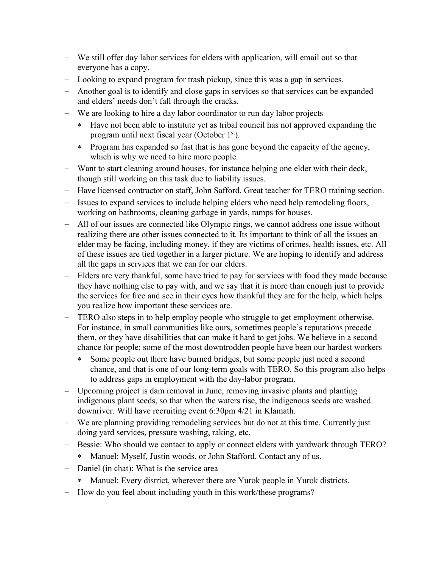- − We still offer day labor services for elders with application, will email out so that everyone has a copy.
- − Looking to expand program for trash pickup, since this was a gap in services.
- − Another goal is to identify and close gaps in services so that services can be expanded and elders' needs don't fall through the cracks.
- − We are looking to hire a day labor coordinator to run day labor projects
	- ∗ Have not been able to institute yet as tribal council has not approved expanding the program until next fiscal year (October 1st).
	- ∗ Program has expanded so fast that is has gone beyond the capacity of the agency, which is why we need to hire more people.
- − Want to start cleaning around houses, for instance helping one elder with their deck, though still working on this task due to liability issues.
- − Have licensed contractor on staff, John Safford. Great teacher for TERO training section.
- − Issues to expand services to include helping elders who need help remodeling floors, working on bathrooms, cleaning garbage in yards, ramps for houses.
- − All of our issues are connected like Olympic rings, we cannot address one issue without realizing there are other issues connected to it. Its important to think of all the issues an elder may be facing, including money, if they are victims of crimes, health issues, etc. All of these issues are tied together in a larger picture. We are hoping to identify and address all the gaps in services that we can for our elders.
- − Elders are very thankful, some have tried to pay for services with food they made because they have nothing else to pay with, and we say that it is more than enough just to provide the services for free and see in their eyes how thankful they are for the help, which helps you realize how important these services are.
- − TERO also steps in to help employ people who struggle to get employment otherwise. For instance, in small communities like ours, sometimes people's reputations precede them, or they have disabilities that can make it hard to get jobs. We believe in a second chance for people; some of the most downtrodden people have been our hardest workers
	- ∗ Some people out there have burned bridges, but some people just need a second chance, and that is one of our long-term goals with TERO. So this program also helps to address gaps in employment with the day-labor program.
- − Upcoming project is dam removal in June, removing invasive plants and planting indigenous plant seeds, so that when the waters rise, the indigenous seeds are washed downriver. Will have recruiting event 6:30pm 4/21 in Klamath.
- − We are planning providing remodeling services but do not at this time. Currently just doing yard services, pressure washing, raking, etc.
- − Bessie: Who should we contact to apply or connect elders with yardwork through TERO?
	- ∗ Manuel: Myself, Justin woods, or John Stafford. Contact any of us.
- − Daniel (in chat): What is the service area
	- ∗ Manuel: Every district, wherever there are Yurok people in Yurok districts.
- − How do you feel about including youth in this work/these programs?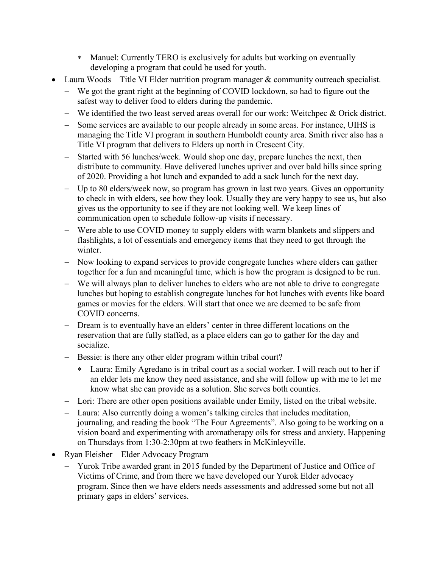- ∗ Manuel: Currently TERO is exclusively for adults but working on eventually developing a program that could be used for youth.
- **Laura Woods** Title VI Elder nutrition program manager  $\&$  community outreach specialist.
	- − We got the grant right at the beginning of COVID lockdown, so had to figure out the safest way to deliver food to elders during the pandemic.
	- − We identified the two least served areas overall for our work: Weitchpec & Orick district.
	- − Some services are available to our people already in some areas. For instance, UIHS is managing the Title VI program in southern Humboldt county area. Smith river also has a Title VI program that delivers to Elders up north in Crescent City.
	- − Started with 56 lunches/week. Would shop one day, prepare lunches the next, then distribute to community. Have delivered lunches upriver and over bald hills since spring of 2020. Providing a hot lunch and expanded to add a sack lunch for the next day.
	- − Up to 80 elders/week now, so program has grown in last two years. Gives an opportunity to check in with elders, see how they look. Usually they are very happy to see us, but also gives us the opportunity to see if they are not looking well. We keep lines of communication open to schedule follow-up visits if necessary.
	- − Were able to use COVID money to supply elders with warm blankets and slippers and flashlights, a lot of essentials and emergency items that they need to get through the winter.
	- − Now looking to expand services to provide congregate lunches where elders can gather together for a fun and meaningful time, which is how the program is designed to be run.
	- − We will always plan to deliver lunches to elders who are not able to drive to congregate lunches but hoping to establish congregate lunches for hot lunches with events like board games or movies for the elders. Will start that once we are deemed to be safe from COVID concerns.
	- − Dream is to eventually have an elders' center in three different locations on the reservation that are fully staffed, as a place elders can go to gather for the day and socialize.
	- − Bessie: is there any other elder program within tribal court?
		- ∗ Laura: Emily Agredano is in tribal court as a social worker. I will reach out to her if an elder lets me know they need assistance, and she will follow up with me to let me know what she can provide as a solution. She serves both counties.
	- − Lori: There are other open positions available under Emily, listed on the tribal website.
	- − Laura: Also currently doing a women's talking circles that includes meditation, journaling, and reading the book "The Four Agreements". Also going to be working on a vision board and experimenting with aromatherapy oils for stress and anxiety. Happening on Thursdays from 1:30-2:30pm at two feathers in McKinleyville.
- Ryan Fleisher Elder Advocacy Program
	- − Yurok Tribe awarded grant in 2015 funded by the Department of Justice and Office of Victims of Crime, and from there we have developed our Yurok Elder advocacy program. Since then we have elders needs assessments and addressed some but not all primary gaps in elders' services.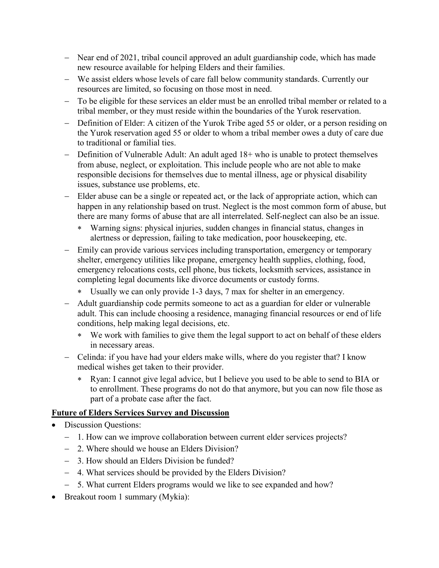- − Near end of 2021, tribal council approved an adult guardianship code, which has made new resource available for helping Elders and their families.
- − We assist elders whose levels of care fall below community standards. Currently our resources are limited, so focusing on those most in need.
- − To be eligible for these services an elder must be an enrolled tribal member or related to a tribal member, or they must reside within the boundaries of the Yurok reservation.
- − Definition of Elder: A citizen of the Yurok Tribe aged 55 or older, or a person residing on the Yurok reservation aged 55 or older to whom a tribal member owes a duty of care due to traditional or familial ties.
- − Definition of Vulnerable Adult: An adult aged 18+ who is unable to protect themselves from abuse, neglect, or exploitation. This include people who are not able to make responsible decisions for themselves due to mental illness, age or physical disability issues, substance use problems, etc.
- − Elder abuse can be a single or repeated act, or the lack of appropriate action, which can happen in any relationship based on trust. Neglect is the most common form of abuse, but there are many forms of abuse that are all interrelated. Self-neglect can also be an issue.
	- ∗ Warning signs: physical injuries, sudden changes in financial status, changes in alertness or depression, failing to take medication, poor housekeeping, etc.
- Emily can provide various services including transportation, emergency or temporary shelter, emergency utilities like propane, emergency health supplies, clothing, food, emergency relocations costs, cell phone, bus tickets, locksmith services, assistance in completing legal documents like divorce documents or custody forms.
	- ∗ Usually we can only provide 1-3 days, 7 max for shelter in an emergency.
- − Adult guardianship code permits someone to act as a guardian for elder or vulnerable adult. This can include choosing a residence, managing financial resources or end of life conditions, help making legal decisions, etc.
	- ∗ We work with families to give them the legal support to act on behalf of these elders in necessary areas.
- − Celinda: if you have had your elders make wills, where do you register that? I know medical wishes get taken to their provider.
	- ∗ Ryan: I cannot give legal advice, but I believe you used to be able to send to BIA or to enrollment. These programs do not do that anymore, but you can now file those as part of a probate case after the fact.

#### **Future of Elders Services Survey and Discussion**

- Discussion Questions:
	- − 1. How can we improve collaboration between current elder services projects?
	- − 2. Where should we house an Elders Division?
	- − 3. How should an Elders Division be funded?
	- − 4. What services should be provided by the Elders Division?
	- − 5. What current Elders programs would we like to see expanded and how?
- Breakout room 1 summary (Mykia):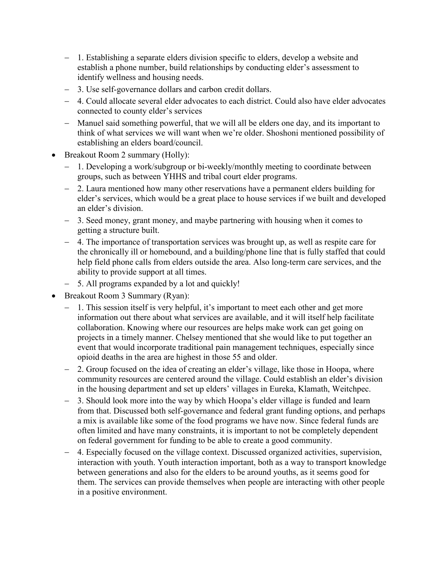- − 1. Establishing a separate elders division specific to elders, develop a website and establish a phone number, build relationships by conducting elder's assessment to identify wellness and housing needs.
- − 3. Use self-governance dollars and carbon credit dollars.
- − 4. Could allocate several elder advocates to each district. Could also have elder advocates connected to county elder's services
- − Manuel said something powerful, that we will all be elders one day, and its important to think of what services we will want when we're older. Shoshoni mentioned possibility of establishing an elders board/council.
- Breakout Room 2 summary (Holly):
	- − 1. Developing a work/subgroup or bi-weekly/monthly meeting to coordinate between groups, such as between YHHS and tribal court elder programs.
	- − 2. Laura mentioned how many other reservations have a permanent elders building for elder's services, which would be a great place to house services if we built and developed an elder's division.
	- − 3. Seed money, grant money, and maybe partnering with housing when it comes to getting a structure built.
	- − 4. The importance of transportation services was brought up, as well as respite care for the chronically ill or homebound, and a building/phone line that is fully staffed that could help field phone calls from elders outside the area. Also long-term care services, and the ability to provide support at all times.
	- − 5. All programs expanded by a lot and quickly!
- Breakout Room 3 Summary (Ryan):
	- − 1. This session itself is very helpful, it's important to meet each other and get more information out there about what services are available, and it will itself help facilitate collaboration. Knowing where our resources are helps make work can get going on projects in a timely manner. Chelsey mentioned that she would like to put together an event that would incorporate traditional pain management techniques, especially since opioid deaths in the area are highest in those 55 and older.
	- − 2. Group focused on the idea of creating an elder's village, like those in Hoopa, where community resources are centered around the village. Could establish an elder's division in the housing department and set up elders' villages in Eureka, Klamath, Weitchpec.
	- 3. Should look more into the way by which Hoopa's elder village is funded and learn from that. Discussed both self-governance and federal grant funding options, and perhaps a mix is available like some of the food programs we have now. Since federal funds are often limited and have many constraints, it is important to not be completely dependent on federal government for funding to be able to create a good community.
	- − 4. Especially focused on the village context. Discussed organized activities, supervision, interaction with youth. Youth interaction important, both as a way to transport knowledge between generations and also for the elders to be around youths, as it seems good for them. The services can provide themselves when people are interacting with other people in a positive environment.